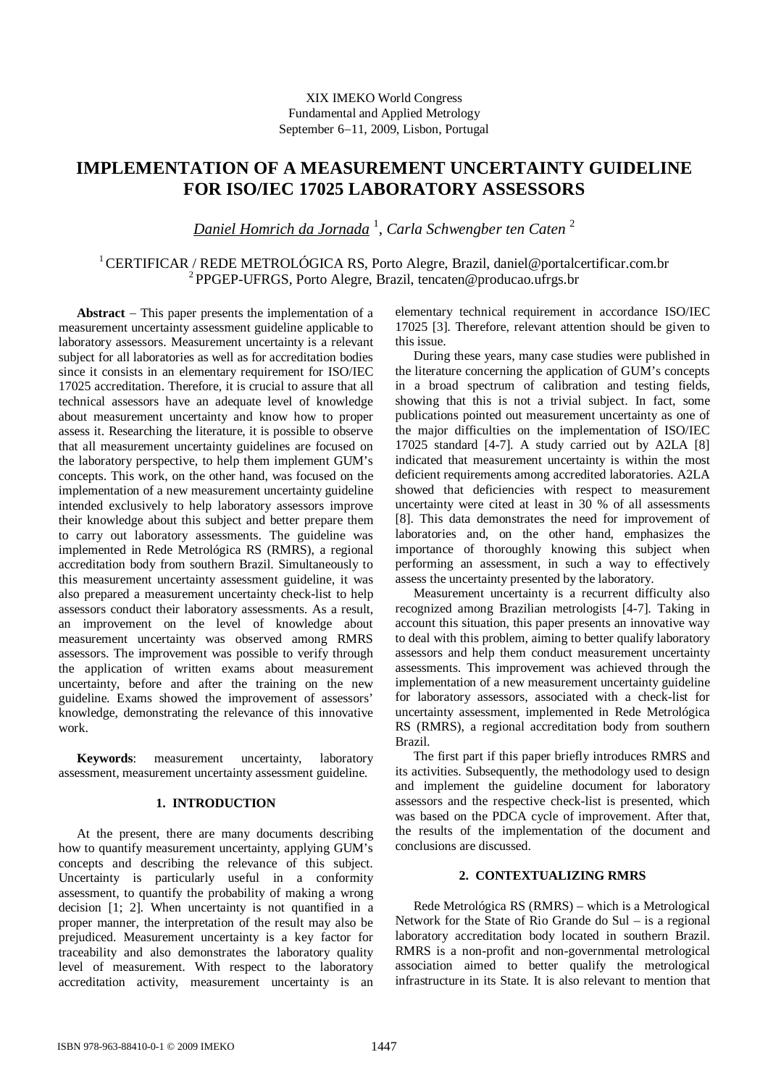# XIX IMEKO World Congress Fundamental and Applied Metrology September 6−11, 2009, Lisbon, Portugal

# **IMPLEMENTATION OF A MEASUREMENT UNCERTAINTY GUIDELINE FOR ISO/IEC 17025 LABORATORY ASSESSORS**

*Daniel Homrich da Jornada* <sup>1</sup> , *Carla Schwengber ten Caten* <sup>2</sup>

<sup>1</sup>CERTIFICAR / REDE METROLÓGICA RS, Porto Alegre, Brazil, daniel@portalcertificar.com.br <sup>2</sup>PPGEP-UFRGS, Porto Alegre, Brazil, tencaten@producao.ufrgs.br

**Abstract** − This paper presents the implementation of a measurement uncertainty assessment guideline applicable to laboratory assessors. Measurement uncertainty is a relevant subject for all laboratories as well as for accreditation bodies since it consists in an elementary requirement for ISO/IEC 17025 accreditation. Therefore, it is crucial to assure that all technical assessors have an adequate level of knowledge about measurement uncertainty and know how to proper assess it. Researching the literature, it is possible to observe that all measurement uncertainty guidelines are focused on the laboratory perspective, to help them implement GUM's concepts. This work, on the other hand, was focused on the implementation of a new measurement uncertainty guideline intended exclusively to help laboratory assessors improve their knowledge about this subject and better prepare them to carry out laboratory assessments. The guideline was implemented in Rede Metrológica RS (RMRS), a regional accreditation body from southern Brazil. Simultaneously to this measurement uncertainty assessment guideline, it was also prepared a measurement uncertainty check-list to help assessors conduct their laboratory assessments. As a result, an improvement on the level of knowledge about measurement uncertainty was observed among RMRS assessors. The improvement was possible to verify through the application of written exams about measurement uncertainty, before and after the training on the new guideline. Exams showed the improvement of assessors' knowledge, demonstrating the relevance of this innovative work.

**Keywords**: measurement uncertainty, laboratory assessment, measurement uncertainty assessment guideline.

## **1. INTRODUCTION**

At the present, there are many documents describing how to quantify measurement uncertainty, applying GUM's concepts and describing the relevance of this subject. Uncertainty is particularly useful in a conformity assessment, to quantify the probability of making a wrong decision [1; 2]. When uncertainty is not quantified in a proper manner, the interpretation of the result may also be prejudiced. Measurement uncertainty is a key factor for traceability and also demonstrates the laboratory quality level of measurement. With respect to the laboratory accreditation activity, measurement uncertainty is an elementary technical requirement in accordance ISO/IEC 17025 [3]. Therefore, relevant attention should be given to this issue.

During these years, many case studies were published in the literature concerning the application of GUM's concepts in a broad spectrum of calibration and testing fields, showing that this is not a trivial subject. In fact, some publications pointed out measurement uncertainty as one of the major difficulties on the implementation of ISO/IEC 17025 standard [4-7]. A study carried out by A2LA [8] indicated that measurement uncertainty is within the most deficient requirements among accredited laboratories. A2LA showed that deficiencies with respect to measurement uncertainty were cited at least in 30 % of all assessments [8]. This data demonstrates the need for improvement of laboratories and, on the other hand, emphasizes the importance of thoroughly knowing this subject when performing an assessment, in such a way to effectively assess the uncertainty presented by the laboratory.

Measurement uncertainty is a recurrent difficulty also recognized among Brazilian metrologists [4-7]. Taking in account this situation, this paper presents an innovative way to deal with this problem, aiming to better qualify laboratory assessors and help them conduct measurement uncertainty assessments. This improvement was achieved through the implementation of a new measurement uncertainty guideline for laboratory assessors, associated with a check-list for uncertainty assessment, implemented in Rede Metrológica RS (RMRS), a regional accreditation body from southern Brazil.

The first part if this paper briefly introduces RMRS and its activities. Subsequently, the methodology used to design and implement the guideline document for laboratory assessors and the respective check-list is presented, which was based on the PDCA cycle of improvement. After that, the results of the implementation of the document and conclusions are discussed.

# **2. CONTEXTUALIZING RMRS**

Rede Metrológica RS (RMRS) – which is a Metrological Network for the State of Rio Grande do Sul – is a regional laboratory accreditation body located in southern Brazil. RMRS is a non-profit and non-governmental metrological association aimed to better qualify the metrological infrastructure in its State. It is also relevant to mention that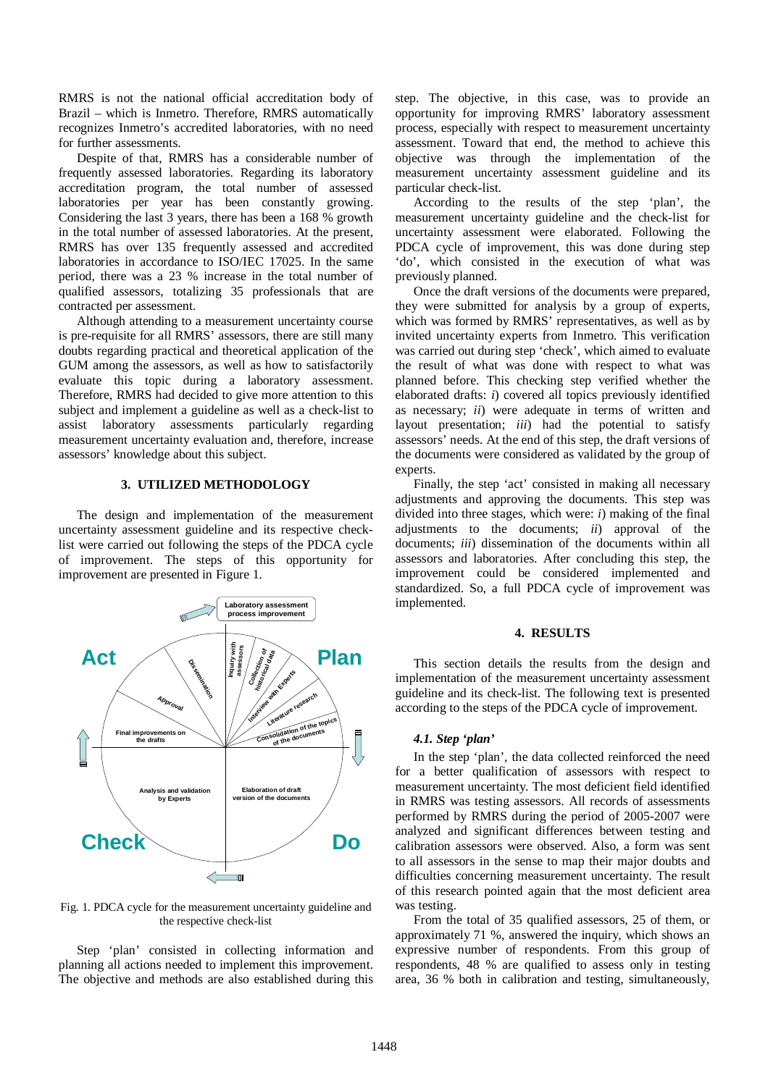RMRS is not the national official accreditation body of Brazil – which is Inmetro. Therefore, RMRS automatically recognizes Inmetro's accredited laboratories, with no need for further assessments.

Despite of that, RMRS has a considerable number of frequently assessed laboratories. Regarding its laboratory accreditation program, the total number of assessed laboratories per year has been constantly growing. Considering the last 3 years, there has been a 168 % growth in the total number of assessed laboratories. At the present, RMRS has over 135 frequently assessed and accredited laboratories in accordance to ISO/IEC 17025. In the same period, there was a 23 % increase in the total number of qualified assessors, totalizing 35 professionals that are contracted per assessment.

Although attending to a measurement uncertainty course is pre-requisite for all RMRS' assessors, there are still many doubts regarding practical and theoretical application of the GUM among the assessors, as well as how to satisfactorily evaluate this topic during a laboratory assessment. Therefore, RMRS had decided to give more attention to this subject and implement a guideline as well as a check-list to assist laboratory assessments particularly regarding measurement uncertainty evaluation and, therefore, increase assessors' knowledge about this subject.

## **3. UTILIZED METHODOLOGY**

The design and implementation of the measurement uncertainty assessment guideline and its respective checklist were carried out following the steps of the PDCA cycle of improvement. The steps of this opportunity for improvement are presented in Figure 1.



Fig. 1. PDCA cycle for the measurement uncertainty guideline and the respective check-list

Step 'plan' consisted in collecting information and planning all actions needed to implement this improvement. The objective and methods are also established during this step. The objective, in this case, was to provide an opportunity for improving RMRS' laboratory assessment process, especially with respect to measurement uncertainty assessment. Toward that end, the method to achieve this objective was through the implementation of the measurement uncertainty assessment guideline and its particular check-list.

According to the results of the step 'plan', the measurement uncertainty guideline and the check-list for uncertainty assessment were elaborated. Following the PDCA cycle of improvement, this was done during step 'do', which consisted in the execution of what was previously planned.

Once the draft versions of the documents were prepared, they were submitted for analysis by a group of experts, which was formed by RMRS' representatives, as well as by invited uncertainty experts from Inmetro. This verification was carried out during step 'check', which aimed to evaluate the result of what was done with respect to what was planned before. This checking step verified whether the elaborated drafts: *i*) covered all topics previously identified as necessary; *ii*) were adequate in terms of written and layout presentation; *iii*) had the potential to satisfy assessors' needs. At the end of this step, the draft versions of the documents were considered as validated by the group of experts.

Finally, the step 'act' consisted in making all necessary adjustments and approving the documents. This step was divided into three stages, which were: *i*) making of the final adjustments to the documents; *ii*) approval of the documents; *iii*) dissemination of the documents within all assessors and laboratories. After concluding this step, the improvement could be considered implemented and standardized. So, a full PDCA cycle of improvement was implemented.

### **4. RESULTS**

This section details the results from the design and implementation of the measurement uncertainty assessment guideline and its check-list. The following text is presented according to the steps of the PDCA cycle of improvement.

#### *4.1. Step 'plan'*

In the step 'plan', the data collected reinforced the need for a better qualification of assessors with respect to measurement uncertainty. The most deficient field identified in RMRS was testing assessors. All records of assessments performed by RMRS during the period of 2005-2007 were analyzed and significant differences between testing and calibration assessors were observed. Also, a form was sent to all assessors in the sense to map their major doubts and difficulties concerning measurement uncertainty. The result of this research pointed again that the most deficient area was testing.

From the total of 35 qualified assessors, 25 of them, or approximately 71 %, answered the inquiry, which shows an expressive number of respondents. From this group of respondents, 48 % are qualified to assess only in testing area, 36 % both in calibration and testing, simultaneously,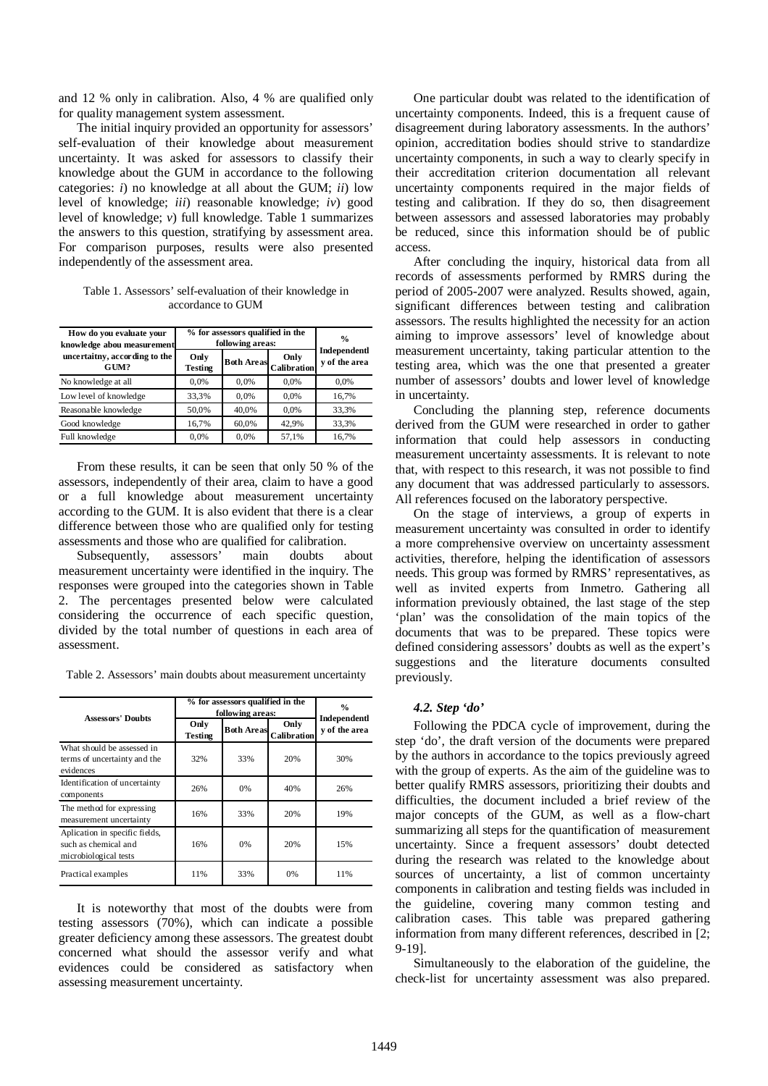and 12 % only in calibration. Also, 4 % are qualified only for quality management system assessment.

The initial inquiry provided an opportunity for assessors' self-evaluation of their knowledge about measurement uncertainty. It was asked for assessors to classify their knowledge about the GUM in accordance to the following categories: *i*) no knowledge at all about the GUM; *ii*) low level of knowledge; *iii*) reasonable knowledge; *iv*) good level of knowledge; *v*) full knowledge. Table 1 summarizes the answers to this question, stratifying by assessment area. For comparison purposes, results were also presented independently of the assessment area.

Table 1. Assessors' self-evaluation of their knowledge in accordance to GUM

| How do you evaluate your<br>knowledge abou measurement | % for assessors qualified in the<br>following areas: | $\frac{0}{0}$     |                     |                               |
|--------------------------------------------------------|------------------------------------------------------|-------------------|---------------------|-------------------------------|
| uncertaitny, according to the<br>GIM?                  | Only<br><b>Testing</b>                               | <b>Both Areas</b> | Only<br>Calibration | Independentl<br>v of the area |
| No knowledge at all                                    | 0.0%                                                 | 0.0%              | 0.0%                | 0,0%                          |
| Low level of knowledge                                 | 33,3%                                                | 0.0%              | 0.0%                | 16,7%                         |
| Reasonable knowledge                                   | 50,0%                                                | 40.0%             | 0.0%                | 33,3%                         |
| Good knowledge                                         | 16,7%                                                | 60,0%             | 42.9%               | 33.3%                         |
| Full knowledge                                         | 0.0%                                                 | 0.0%              | 57,1%               | 16.7%                         |

From these results, it can be seen that only 50 % of the assessors, independently of their area, claim to have a good or a full knowledge about measurement uncertainty according to the GUM. It is also evident that there is a clear difference between those who are qualified only for testing assessments and those who are qualified for calibration.

Subsequently, assessors' main doubts about measurement uncertainty were identified in the inquiry. The responses were grouped into the categories shown in Table 2. The percentages presented below were calculated considering the occurrence of each specific question, divided by the total number of questions in each area of assessment.

Table 2. Assessors' main doubts about measurement uncertainty

|                                                                                 | % for assessors qualified in the<br>following areas: |                   |                     | $\frac{0}{0}$                 |  |
|---------------------------------------------------------------------------------|------------------------------------------------------|-------------------|---------------------|-------------------------------|--|
| <b>Assessors' Doubts</b>                                                        | Only<br><b>Testing</b>                               | <b>Both Areas</b> | Only<br>Calibration | Independentl<br>v of the area |  |
| What should be assessed in<br>terms of uncertainty and the<br>evidences         | 32%                                                  | 33%               | 20%                 | 30%                           |  |
| Identification of uncertainty<br>components                                     | 26%                                                  | 0%                | 40%                 | 26%                           |  |
| The method for expressing<br>measurement uncertainty                            | 16%                                                  | 33%               | 20%                 | 19%                           |  |
| Aplication in specific fields,<br>such as chemical and<br>microbiological tests | 16%                                                  | 0%                | 20%                 | 15%                           |  |
| Practical examples                                                              | 11%                                                  | 33%               | 0%                  | 11%                           |  |

It is noteworthy that most of the doubts were from testing assessors (70%), which can indicate a possible greater deficiency among these assessors. The greatest doubt concerned what should the assessor verify and what evidences could be considered as satisfactory when assessing measurement uncertainty.

One particular doubt was related to the identification of uncertainty components. Indeed, this is a frequent cause of disagreement during laboratory assessments. In the authors' opinion, accreditation bodies should strive to standardize uncertainty components, in such a way to clearly specify in their accreditation criterion documentation all relevant uncertainty components required in the major fields of testing and calibration. If they do so, then disagreement between assessors and assessed laboratories may probably be reduced, since this information should be of public access.

After concluding the inquiry, historical data from all records of assessments performed by RMRS during the period of 2005-2007 were analyzed. Results showed, again, significant differences between testing and calibration assessors. The results highlighted the necessity for an action aiming to improve assessors' level of knowledge about measurement uncertainty, taking particular attention to the testing area, which was the one that presented a greater number of assessors' doubts and lower level of knowledge in uncertainty.

Concluding the planning step, reference documents derived from the GUM were researched in order to gather information that could help assessors in conducting measurement uncertainty assessments. It is relevant to note that, with respect to this research, it was not possible to find any document that was addressed particularly to assessors. All references focused on the laboratory perspective.

On the stage of interviews, a group of experts in measurement uncertainty was consulted in order to identify a more comprehensive overview on uncertainty assessment activities, therefore, helping the identification of assessors needs. This group was formed by RMRS' representatives, as well as invited experts from Inmetro. Gathering all information previously obtained, the last stage of the step 'plan' was the consolidation of the main topics of the documents that was to be prepared. These topics were defined considering assessors' doubts as well as the expert's suggestions and the literature documents consulted previously.

## *4.2. Step 'do'*

Following the PDCA cycle of improvement, during the step 'do', the draft version of the documents were prepared by the authors in accordance to the topics previously agreed with the group of experts. As the aim of the guideline was to better qualify RMRS assessors, prioritizing their doubts and difficulties, the document included a brief review of the major concepts of the GUM, as well as a flow-chart summarizing all steps for the quantification of measurement uncertainty. Since a frequent assessors' doubt detected during the research was related to the knowledge about sources of uncertainty, a list of common uncertainty components in calibration and testing fields was included in the guideline, covering many common testing and calibration cases. This table was prepared gathering information from many different references, described in [2; 9-19].

Simultaneously to the elaboration of the guideline, the check-list for uncertainty assessment was also prepared.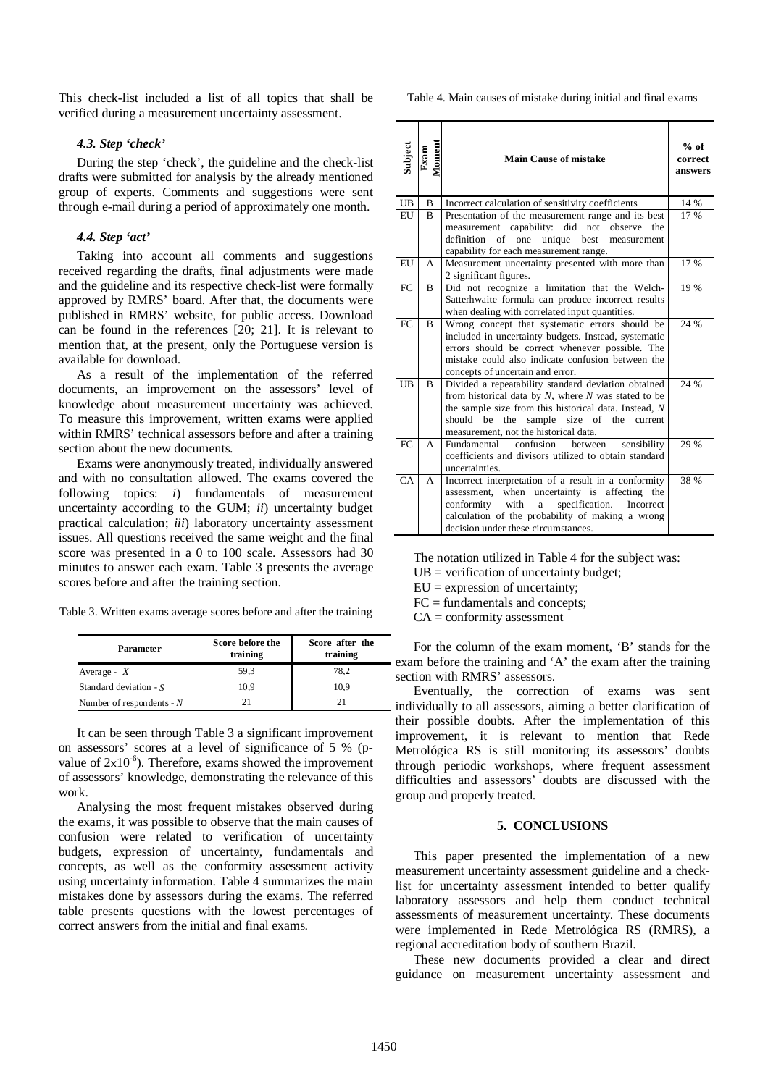This check-list included a list of all topics that shall be verified during a measurement uncertainty assessment.

#### *4.3. Step 'check'*

During the step 'check', the guideline and the check-list drafts were submitted for analysis by the already mentioned group of experts. Comments and suggestions were sent through e-mail during a period of approximately one month.

#### *4.4. Step 'act'*

Taking into account all comments and suggestions received regarding the drafts, final adjustments were made and the guideline and its respective check-list were formally approved by RMRS' board. After that, the documents were published in RMRS' website, for public access. Download can be found in the references [20; 21]. It is relevant to mention that, at the present, only the Portuguese version is available for download.

As a result of the implementation of the referred documents, an improvement on the assessors' level of knowledge about measurement uncertainty was achieved. To measure this improvement, written exams were applied within RMRS' technical assessors before and after a training section about the new documents.

Exams were anonymously treated, individually answered and with no consultation allowed. The exams covered the following topics: *i*) fundamentals of measurement uncertainty according to the GUM; *ii*) uncertainty budget practical calculation; *iii*) laboratory uncertainty assessment issues. All questions received the same weight and the final score was presented in a 0 to 100 scale. Assessors had 30 minutes to answer each exam. Table 3 presents the average scores before and after the training section.

Table 3. Written exams average scores before and after the training

| <b>Parameter</b>            | Score before the<br>training | Score after the<br>training |  |
|-----------------------------|------------------------------|-----------------------------|--|
| Average - $X$               | 59,3                         | 78.2                        |  |
| Standard deviation - $S$    | 10.9                         | 10.9                        |  |
| Number of respondents - $N$ | 21                           |                             |  |

It can be seen through Table 3 a significant improvement on assessors' scores at a level of significance of 5 % (pvalue of  $2x10^{-6}$ ). Therefore, exams showed the improvement of assessors' knowledge, demonstrating the relevance of this work.

Analysing the most frequent mistakes observed during the exams, it was possible to observe that the main causes of confusion were related to verification of uncertainty budgets, expression of uncertainty, fundamentals and concepts, as well as the conformity assessment activity using uncertainty information. Table 4 summarizes the main mistakes done by assessors during the exams. The referred table presents questions with the lowest percentages of correct answers from the initial and final exams.

Table 4. Main causes of mistake during initial and final exams

| Subject   | Moment<br>Exam | <b>Main Cause of mistake</b>                                                                                                                                                                                                                                                    | $%$ of<br>correct<br>answers |
|-----------|----------------|---------------------------------------------------------------------------------------------------------------------------------------------------------------------------------------------------------------------------------------------------------------------------------|------------------------------|
| <b>UB</b> | B              | Incorrect calculation of sensitivity coefficients                                                                                                                                                                                                                               | 14 %                         |
| EU        | B              | Presentation of the measurement range and its best<br>measurement capability: did<br>not<br>observe<br>the<br>definition<br>of one unique<br>best<br>measurement<br>capability for each measurement range.                                                                      | 17 %                         |
| EU        | A              | Measurement uncertainty presented with more than<br>2 significant figures.                                                                                                                                                                                                      | 17 %                         |
| FC        | B              | Did not recognize a limitation that the Welch-<br>Satterhwaite formula can produce incorrect results<br>when dealing with correlated input quantities.                                                                                                                          | 19 %                         |
| FC        | B              | Wrong concept that systematic errors should be<br>included in uncertainty budgets. Instead, systematic<br>errors should be correct whenever possible. The<br>mistake could also indicate confusion between the<br>concepts of uncertain and error.                              | 24 %                         |
| UB        | R              | Divided a repeatability standard deviation obtained<br>from historical data by $N$ , where $N$ was stated to be<br>the sample size from this historical data. Instead, N<br>be<br>should<br>the<br>sample<br>size of<br>the<br>current<br>measurement, not the historical data. | 24 %                         |
| FC.       | A              | Fundamental<br>confusion<br>between<br>sensibility<br>coefficients and divisors utilized to obtain standard<br>uncertainties.                                                                                                                                                   | 29 %                         |
| CA        | A              | Incorrect interpretation of a result in a conformity<br>uncertainty is affecting<br>when<br>assessment,<br>the<br>specification.<br>conformity<br>with<br>Incorrect<br>a<br>calculation of the probability of making a wrong<br>decision under these circumstances.             | 38 %                         |

The notation utilized in Table 4 for the subject was:

 $UB = verification of uncertainty budget;$ 

 $EU =$  expression of uncertainty;

 $FC = fundamentals$  and concepts;

 $CA = \text{conformity assessment}$ 

For the column of the exam moment, 'B' stands for the exam before the training and 'A' the exam after the training section with RMRS' assessors.

Eventually, the correction of exams was sent individually to all assessors, aiming a better clarification of their possible doubts. After the implementation of this improvement, it is relevant to mention that Rede Metrológica RS is still monitoring its assessors' doubts through periodic workshops, where frequent assessment difficulties and assessors' doubts are discussed with the group and properly treated.

## **5. CONCLUSIONS**

This paper presented the implementation of a new measurement uncertainty assessment guideline and a checklist for uncertainty assessment intended to better qualify laboratory assessors and help them conduct technical assessments of measurement uncertainty. These documents were implemented in Rede Metrológica RS (RMRS), a regional accreditation body of southern Brazil.

These new documents provided a clear and direct guidance on measurement uncertainty assessment and